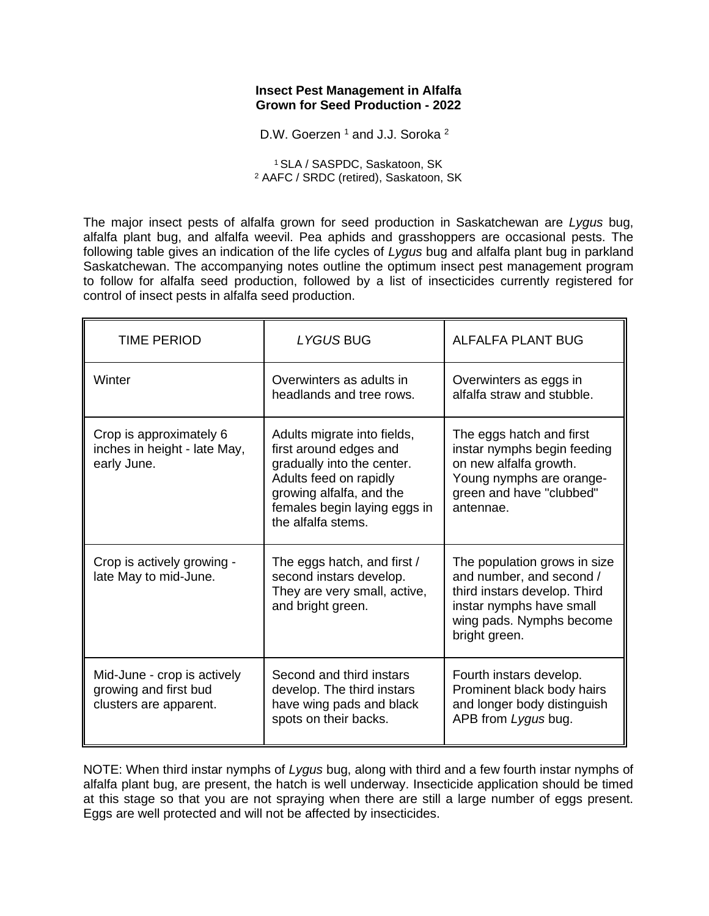### **Insect Pest Management in Alfalfa Grown for Seed Production - 2022**

D.W. Goerzen<sup>1</sup> and J.J. Soroka<sup>2</sup>

<sup>1</sup>SLA / SASPDC, Saskatoon, SK <sup>2</sup> AAFC / SRDC (retired), Saskatoon, SK

The major insect pests of alfalfa grown for seed production in Saskatchewan are *Lygus* bug, alfalfa plant bug, and alfalfa weevil. Pea aphids and grasshoppers are occasional pests. The following table gives an indication of the life cycles of *Lygus* bug and alfalfa plant bug in parkland Saskatchewan. The accompanying notes outline the optimum insect pest management program to follow for alfalfa seed production, followed by a list of insecticides currently registered for control of insect pests in alfalfa seed production.

| <b>TIME PERIOD</b>                                                             | <b>LYGUS BUG</b>                                                                                                                                                                                | <b>ALFALFA PLANT BUG</b>                                                                                                                                          |
|--------------------------------------------------------------------------------|-------------------------------------------------------------------------------------------------------------------------------------------------------------------------------------------------|-------------------------------------------------------------------------------------------------------------------------------------------------------------------|
| Winter                                                                         | Overwinters as adults in<br>headlands and tree rows.                                                                                                                                            | Overwinters as eggs in<br>alfalfa straw and stubble.                                                                                                              |
| Crop is approximately 6<br>inches in height - late May,<br>early June.         | Adults migrate into fields,<br>first around edges and<br>gradually into the center.<br>Adults feed on rapidly<br>growing alfalfa, and the<br>females begin laying eggs in<br>the alfalfa stems. | The eggs hatch and first<br>instar nymphs begin feeding<br>on new alfalfa growth.<br>Young nymphs are orange-<br>green and have "clubbed"<br>antennae.            |
| Crop is actively growing -<br>late May to mid-June.                            | The eggs hatch, and first /<br>second instars develop.<br>They are very small, active,<br>and bright green.                                                                                     | The population grows in size<br>and number, and second /<br>third instars develop. Third<br>instar nymphs have small<br>wing pads. Nymphs become<br>bright green. |
| Mid-June - crop is actively<br>growing and first bud<br>clusters are apparent. | Second and third instars<br>develop. The third instars<br>have wing pads and black<br>spots on their backs.                                                                                     | Fourth instars develop.<br>Prominent black body hairs<br>and longer body distinguish<br>APB from Lygus bug.                                                       |

NOTE: When third instar nymphs of *Lygus* bug, along with third and a few fourth instar nymphs of alfalfa plant bug, are present, the hatch is well underway. Insecticide application should be timed at this stage so that you are not spraying when there are still a large number of eggs present. Eggs are well protected and will not be affected by insecticides.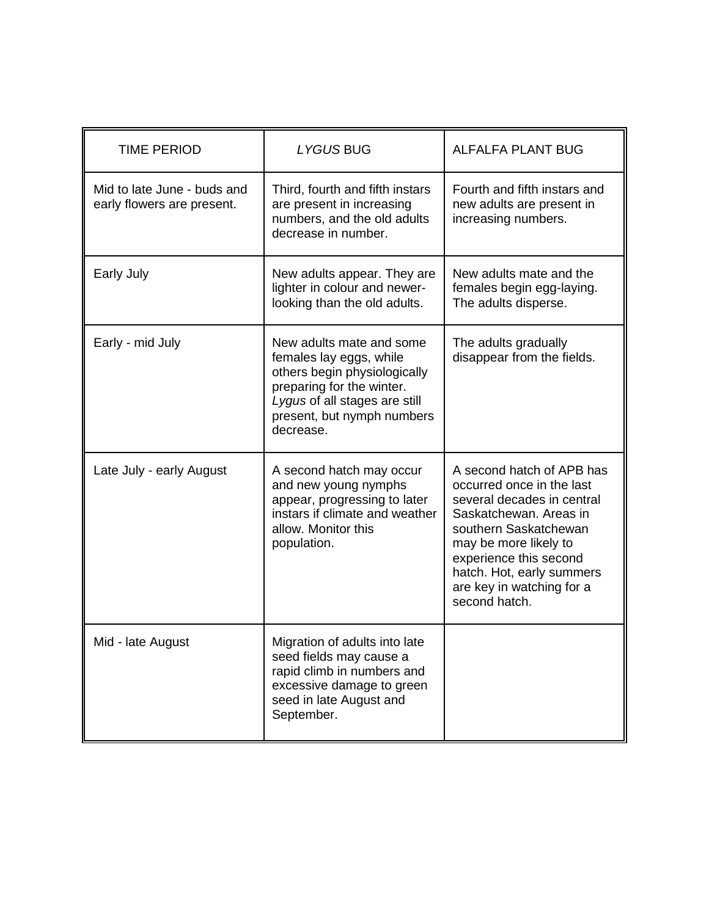| <b>TIME PERIOD</b>                                        | LYGUS BUG                                                                                                                                                                                    | <b>ALFALFA PLANT BUG</b>                                                                                                                                                                                                                                              |
|-----------------------------------------------------------|----------------------------------------------------------------------------------------------------------------------------------------------------------------------------------------------|-----------------------------------------------------------------------------------------------------------------------------------------------------------------------------------------------------------------------------------------------------------------------|
| Mid to late June - buds and<br>early flowers are present. | Third, fourth and fifth instars<br>are present in increasing<br>numbers, and the old adults<br>decrease in number.                                                                           | Fourth and fifth instars and<br>new adults are present in<br>increasing numbers.                                                                                                                                                                                      |
| Early July                                                | New adults appear. They are<br>lighter in colour and newer-<br>looking than the old adults.                                                                                                  | New adults mate and the<br>females begin egg-laying.<br>The adults disperse.                                                                                                                                                                                          |
| Early - mid July                                          | New adults mate and some<br>females lay eggs, while<br>others begin physiologically<br>preparing for the winter.<br>Lygus of all stages are still<br>present, but nymph numbers<br>decrease. | The adults gradually<br>disappear from the fields.                                                                                                                                                                                                                    |
| Late July - early August                                  | A second hatch may occur<br>and new young nymphs<br>appear, progressing to later<br>instars if climate and weather<br>allow. Monitor this<br>population.                                     | A second hatch of APB has<br>occurred once in the last<br>several decades in central<br>Saskatchewan. Areas in<br>southern Saskatchewan<br>may be more likely to<br>experience this second<br>hatch. Hot, early summers<br>are key in watching for a<br>second hatch. |
| Mid - late August                                         | Migration of adults into late<br>seed fields may cause a<br>rapid climb in numbers and<br>excessive damage to green<br>seed in late August and<br>September.                                 |                                                                                                                                                                                                                                                                       |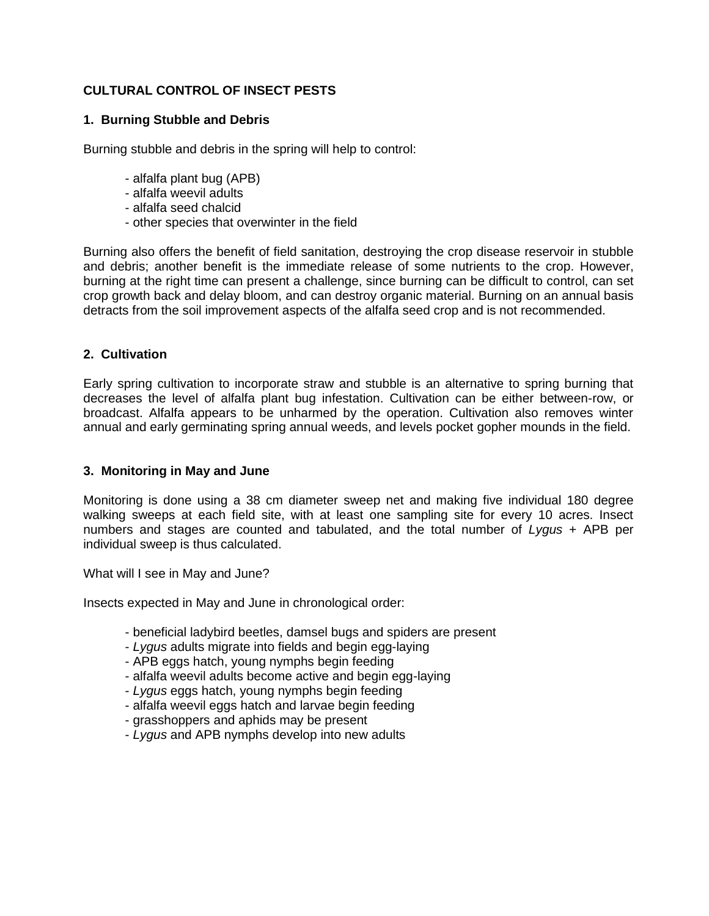# **CULTURAL CONTROL OF INSECT PESTS**

# **1. Burning Stubble and Debris**

Burning stubble and debris in the spring will help to control:

- alfalfa plant bug (APB)
- alfalfa weevil adults
- alfalfa seed chalcid
- other species that overwinter in the field

Burning also offers the benefit of field sanitation, destroying the crop disease reservoir in stubble and debris; another benefit is the immediate release of some nutrients to the crop. However, burning at the right time can present a challenge, since burning can be difficult to control, can set crop growth back and delay bloom, and can destroy organic material. Burning on an annual basis detracts from the soil improvement aspects of the alfalfa seed crop and is not recommended.

# **2. Cultivation**

Early spring cultivation to incorporate straw and stubble is an alternative to spring burning that decreases the level of alfalfa plant bug infestation. Cultivation can be either between-row, or broadcast. Alfalfa appears to be unharmed by the operation. Cultivation also removes winter annual and early germinating spring annual weeds, and levels pocket gopher mounds in the field.

# **3. Monitoring in May and June**

Monitoring is done using a 38 cm diameter sweep net and making five individual 180 degree walking sweeps at each field site, with at least one sampling site for every 10 acres. Insect numbers and stages are counted and tabulated, and the total number of *Lygus* + APB per individual sweep is thus calculated.

What will I see in May and June?

Insects expected in May and June in chronological order:

- beneficial ladybird beetles, damsel bugs and spiders are present
- *Lygus* adults migrate into fields and begin egg-laying
- APB eggs hatch, young nymphs begin feeding
- alfalfa weevil adults become active and begin egg-laying
- *Lygus* eggs hatch, young nymphs begin feeding
- alfalfa weevil eggs hatch and larvae begin feeding
- grasshoppers and aphids may be present
- *Lygus* and APB nymphs develop into new adults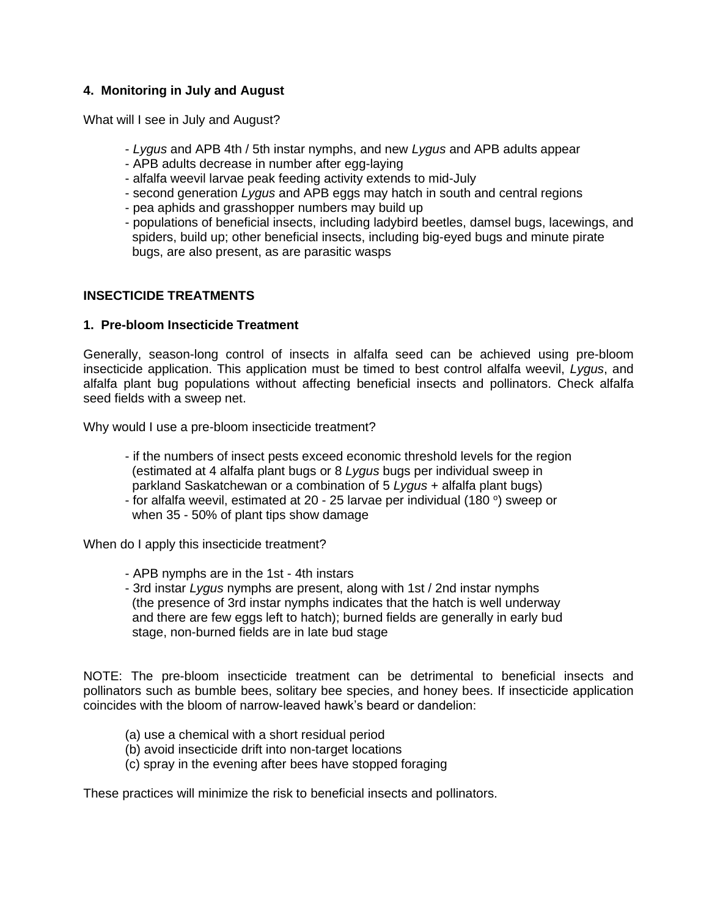# **4. Monitoring in July and August**

What will I see in July and August?

- *Lygus* and APB 4th / 5th instar nymphs, and new *Lygus* and APB adults appear
- APB adults decrease in number after egg-laying
- alfalfa weevil larvae peak feeding activity extends to mid-July
- second generation *Lygus* and APB eggs may hatch in south and central regions
- pea aphids and grasshopper numbers may build up
- populations of beneficial insects, including ladybird beetles, damsel bugs, lacewings, and spiders, build up; other beneficial insects, including big-eyed bugs and minute pirate bugs, are also present, as are parasitic wasps

# **INSECTICIDE TREATMENTS**

## **1. Pre-bloom Insecticide Treatment**

Generally, season-long control of insects in alfalfa seed can be achieved using pre-bloom insecticide application. This application must be timed to best control alfalfa weevil, *Lygus*, and alfalfa plant bug populations without affecting beneficial insects and pollinators. Check alfalfa seed fields with a sweep net.

Why would I use a pre-bloom insecticide treatment?

- if the numbers of insect pests exceed economic threshold levels for the region (estimated at 4 alfalfa plant bugs or 8 *Lygus* bugs per individual sweep in parkland Saskatchewan or a combination of 5 *Lygus* + alfalfa plant bugs)
- for alfalfa weevil, estimated at 20 25 larvae per individual (180 $^{\circ}$ ) sweep or when 35 - 50% of plant tips show damage

When do I apply this insecticide treatment?

- APB nymphs are in the 1st 4th instars
- 3rd instar *Lygus* nymphs are present, along with 1st / 2nd instar nymphs (the presence of 3rd instar nymphs indicates that the hatch is well underway and there are few eggs left to hatch); burned fields are generally in early bud stage, non-burned fields are in late bud stage

NOTE: The pre-bloom insecticide treatment can be detrimental to beneficial insects and pollinators such as bumble bees, solitary bee species, and honey bees. If insecticide application coincides with the bloom of narrow-leaved hawk's beard or dandelion:

- (a) use a chemical with a short residual period
- (b) avoid insecticide drift into non-target locations
- (c) spray in the evening after bees have stopped foraging

These practices will minimize the risk to beneficial insects and pollinators.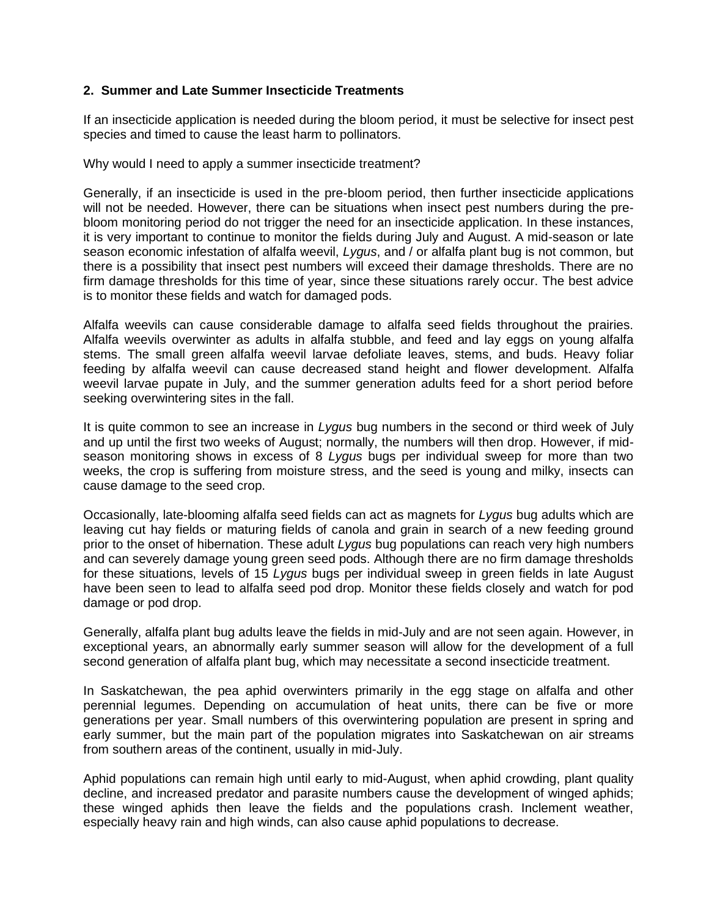## **2. Summer and Late Summer Insecticide Treatments**

If an insecticide application is needed during the bloom period, it must be selective for insect pest species and timed to cause the least harm to pollinators.

Why would I need to apply a summer insecticide treatment?

Generally, if an insecticide is used in the pre-bloom period, then further insecticide applications will not be needed. However, there can be situations when insect pest numbers during the prebloom monitoring period do not trigger the need for an insecticide application. In these instances, it is very important to continue to monitor the fields during July and August. A mid-season or late season economic infestation of alfalfa weevil, *Lygus*, and / or alfalfa plant bug is not common, but there is a possibility that insect pest numbers will exceed their damage thresholds. There are no firm damage thresholds for this time of year, since these situations rarely occur. The best advice is to monitor these fields and watch for damaged pods.

Alfalfa weevils can cause considerable damage to alfalfa seed fields throughout the prairies. Alfalfa weevils overwinter as adults in alfalfa stubble, and feed and lay eggs on young alfalfa stems. The small green alfalfa weevil larvae defoliate leaves, stems, and buds. Heavy foliar feeding by alfalfa weevil can cause decreased stand height and flower development. Alfalfa weevil larvae pupate in July, and the summer generation adults feed for a short period before seeking overwintering sites in the fall.

It is quite common to see an increase in *Lygus* bug numbers in the second or third week of July and up until the first two weeks of August; normally, the numbers will then drop. However, if midseason monitoring shows in excess of 8 *Lygus* bugs per individual sweep for more than two weeks, the crop is suffering from moisture stress, and the seed is young and milky, insects can cause damage to the seed crop.

Occasionally, late-blooming alfalfa seed fields can act as magnets for *Lygus* bug adults which are leaving cut hay fields or maturing fields of canola and grain in search of a new feeding ground prior to the onset of hibernation. These adult *Lygus* bug populations can reach very high numbers and can severely damage young green seed pods. Although there are no firm damage thresholds for these situations, levels of 15 *Lygus* bugs per individual sweep in green fields in late August have been seen to lead to alfalfa seed pod drop. Monitor these fields closely and watch for pod damage or pod drop.

Generally, alfalfa plant bug adults leave the fields in mid-July and are not seen again. However, in exceptional years, an abnormally early summer season will allow for the development of a full second generation of alfalfa plant bug, which may necessitate a second insecticide treatment.

In Saskatchewan, the pea aphid overwinters primarily in the egg stage on alfalfa and other perennial legumes. Depending on accumulation of heat units, there can be five or more generations per year. Small numbers of this overwintering population are present in spring and early summer, but the main part of the population migrates into Saskatchewan on air streams from southern areas of the continent, usually in mid-July.

Aphid populations can remain high until early to mid-August, when aphid crowding, plant quality decline, and increased predator and parasite numbers cause the development of winged aphids; these winged aphids then leave the fields and the populations crash. Inclement weather, especially heavy rain and high winds, can also cause aphid populations to decrease.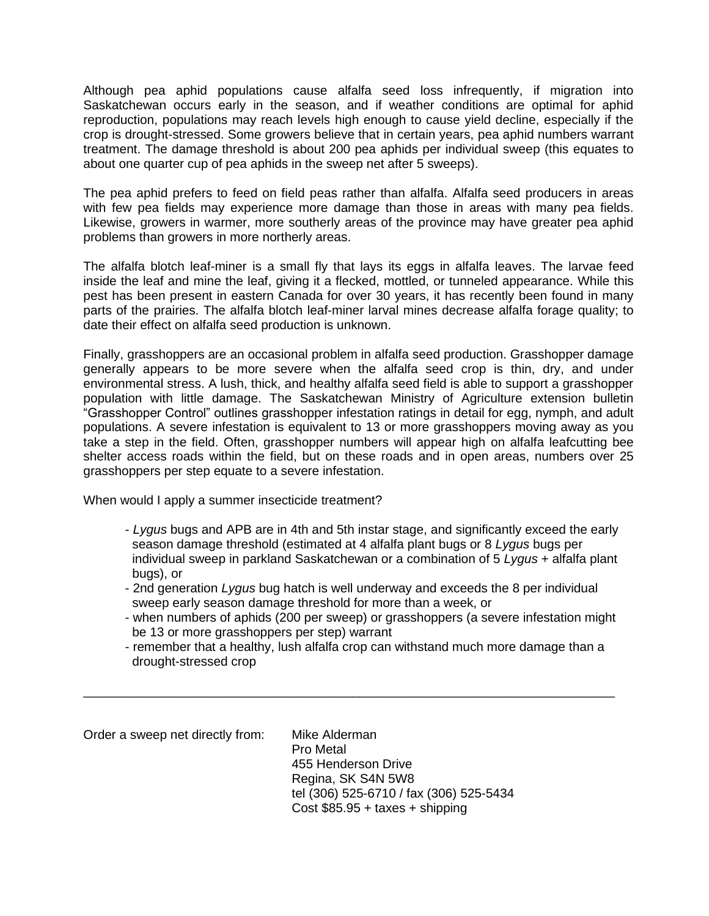Although pea aphid populations cause alfalfa seed loss infrequently, if migration into Saskatchewan occurs early in the season, and if weather conditions are optimal for aphid reproduction, populations may reach levels high enough to cause yield decline, especially if the crop is drought-stressed. Some growers believe that in certain years, pea aphid numbers warrant treatment. The damage threshold is about 200 pea aphids per individual sweep (this equates to about one quarter cup of pea aphids in the sweep net after 5 sweeps).

The pea aphid prefers to feed on field peas rather than alfalfa. Alfalfa seed producers in areas with few pea fields may experience more damage than those in areas with many pea fields. Likewise, growers in warmer, more southerly areas of the province may have greater pea aphid problems than growers in more northerly areas.

The alfalfa blotch leaf-miner is a small fly that lays its eggs in alfalfa leaves. The larvae feed inside the leaf and mine the leaf, giving it a flecked, mottled, or tunneled appearance. While this pest has been present in eastern Canada for over 30 years, it has recently been found in many parts of the prairies. The alfalfa blotch leaf-miner larval mines decrease alfalfa forage quality; to date their effect on alfalfa seed production is unknown.

Finally, grasshoppers are an occasional problem in alfalfa seed production. Grasshopper damage generally appears to be more severe when the alfalfa seed crop is thin, dry, and under environmental stress. A lush, thick, and healthy alfalfa seed field is able to support a grasshopper population with little damage. The Saskatchewan Ministry of Agriculture extension bulletin "Grasshopper Control" outlines grasshopper infestation ratings in detail for egg, nymph, and adult populations. A severe infestation is equivalent to 13 or more grasshoppers moving away as you take a step in the field. Often, grasshopper numbers will appear high on alfalfa leafcutting bee shelter access roads within the field, but on these roads and in open areas, numbers over 25 grasshoppers per step equate to a severe infestation.

When would I apply a summer insecticide treatment?

- *Lygus* bugs and APB are in 4th and 5th instar stage, and significantly exceed the early season damage threshold (estimated at 4 alfalfa plant bugs or 8 *Lygus* bugs per individual sweep in parkland Saskatchewan or a combination of 5 *Lygus* + alfalfa plant bugs), or
- 2nd generation *Lygus* bug hatch is well underway and exceeds the 8 per individual sweep early season damage threshold for more than a week, or
- when numbers of aphids (200 per sweep) or grasshoppers (a severe infestation might be 13 or more grasshoppers per step) warrant
- remember that a healthy, lush alfalfa crop can withstand much more damage than a drought-stressed crop

\_\_\_\_\_\_\_\_\_\_\_\_\_\_\_\_\_\_\_\_\_\_\_\_\_\_\_\_\_\_\_\_\_\_\_\_\_\_\_\_\_\_\_\_\_\_\_\_\_\_\_\_\_\_\_\_\_\_\_\_\_\_\_\_\_\_\_\_\_\_\_\_\_\_\_

| Order a sweep net directly from: | Mike Alderman                           |
|----------------------------------|-----------------------------------------|
|                                  | <b>Pro Metal</b>                        |
|                                  | 455 Henderson Drive                     |
|                                  | Regina, SK S4N 5W8                      |
|                                  | tel (306) 525-6710 / fax (306) 525-5434 |
|                                  | Cost $$85.95 + taxes + shipping$        |